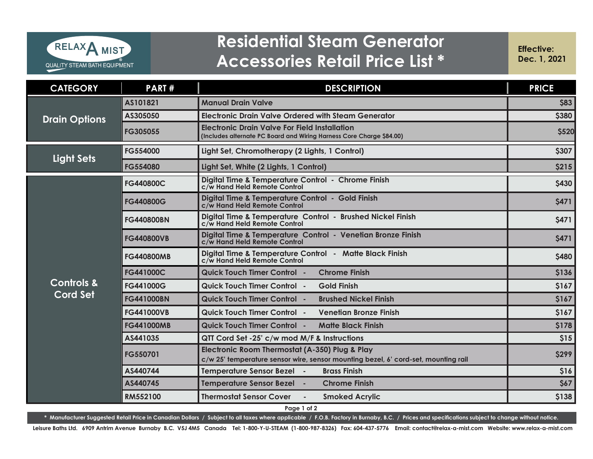

## **Residential Steam Generator Accessories Retail Price List \***

**Effective: Dec. 1, 2021**

| <b>CATEGORY</b>                   | <b>PART#</b>      | <b>DESCRIPTION</b>                                                                                                                   | <b>PRICE</b> |
|-----------------------------------|-------------------|--------------------------------------------------------------------------------------------------------------------------------------|--------------|
| <b>Drain Options</b>              | AS101821          | <b>Manual Drain Valve</b>                                                                                                            | \$83         |
|                                   | AS305050          | Electronic Drain Valve Ordered with Steam Generator                                                                                  | \$380        |
|                                   | FG305055          | <b>Electronic Drain Valve For Field Installation</b><br>(Includes alternate PC Board and Wiring Harness Core Charge \$84.00)         | <b>\$520</b> |
| <b>Light Sets</b>                 | FG554000          | Light Set, Chromotherapy (2 Lights, 1 Control)                                                                                       | \$307        |
|                                   | <b>FG554080</b>   | Light Set, White (2 Lights, 1 Control)                                                                                               | \$215        |
| <b>Controls &amp;</b><br>Cord Set | <b>FG440800C</b>  | Digital Time & Temperature Control - Chrome Finish<br>c/w Hand Held Remote Control                                                   | \$430        |
|                                   | <b>FG440800G</b>  | Digital Time & Temperature Control - Gold Finish<br>c/w Hand Held Remote Control                                                     | <b>\$471</b> |
|                                   | <b>FG440800BN</b> | Digital Time & Temperature Control - Brushed Nickel Finish<br>c/w Hand Held Remote Control                                           | \$471        |
|                                   | <b>FG440800VB</b> | Digital Time & Temperature Control - Venetian Bronze Finish<br>c/w Hand Held Remote Control                                          | \$471        |
|                                   | <b>FG440800MB</b> | Digital Time & Temperature Control - Matte Black Finish<br>c/w Hand Held Remote Control                                              | \$480        |
|                                   | <b>FG441000C</b>  | <b>Chrome Finish</b><br><b>Quick Touch Timer Control -</b>                                                                           | \$136        |
|                                   | <b>FG441000G</b>  | <b>Quick Touch Timer Control -</b><br><b>Gold Finish</b>                                                                             | \$167        |
|                                   | <b>FG441000BN</b> | <b>Quick Touch Timer Control -</b><br><b>Brushed Nickel Finish</b>                                                                   | \$167        |
|                                   | <b>FG441000VB</b> | <b>Quick Touch Timer Control -</b><br><b>Venetian Bronze Finish</b>                                                                  | \$167        |
|                                   | <b>FG441000MB</b> | <b>Quick Touch Timer Control -</b><br><b>Matte Black Finish</b>                                                                      | \$178        |
|                                   | AS441035          | QTT Cord Set -25' c/w mod M/F & Instructions                                                                                         | \$15         |
|                                   | FG550701          | Electronic Room Thermostat (A-350) Plug & Play<br>c/w 25' temperature sensor wire, sensor mounting bezel, 6' cord-set, mounting rail | \$299        |
|                                   | AS440744          | Temperature Sensor Bezel -<br><b>Brass Finish</b>                                                                                    | \$16         |
|                                   | AS440745          | Temperature Sensor Bezel -<br><b>Chrome Finish</b>                                                                                   | \$67         |
|                                   | RM552100          | <b>Thermostat Sensor Cover</b><br><b>Smoked Acrylic</b>                                                                              | \$138        |

**Page 1 of 2**

**\* Manufacturer Suggested Retail Price in Canadian Dollars / Subject to all taxes where applicable / F.O.B. Factory in Burnaby, B.C. / Prices and specifications subject to change without notice.** 

**Leisure Baths Ltd. 6909 Antrim Avenue Burnaby B.C. V5J 4M5 Canada Tel: 1-800-Y-U-STEAM (1-800-987-8326) Fax: 604-437-5776 Email: contact@relax-a-mist.com Website: www.relax-a-mist.com**